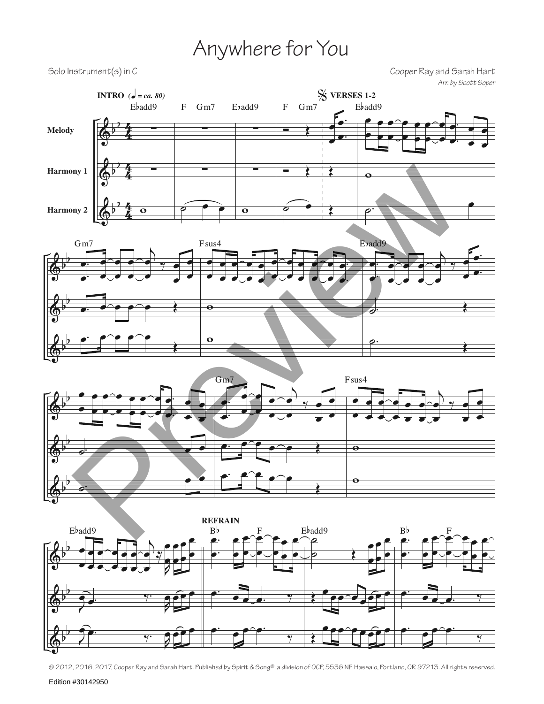## Anywhere for You

Solo Instrument(s) in C<br>Cooper Ray and Sarah Hart *Arr. by Scott Soper*



<sup>© 2012, 2016, 2017,</sup> Cooper Ray and Sarah Hart. Published by Spirit & Song®, a division of OCP, 5536 NE Hassalo, Portland, OR 97213. All rights reserved.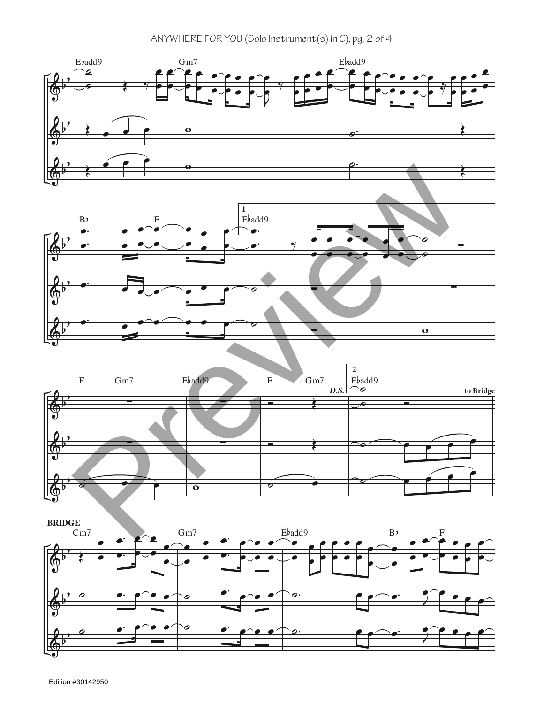## ANYWHERE FOR YOU (Solo Instrument(s) in C), pg. 2 of 4







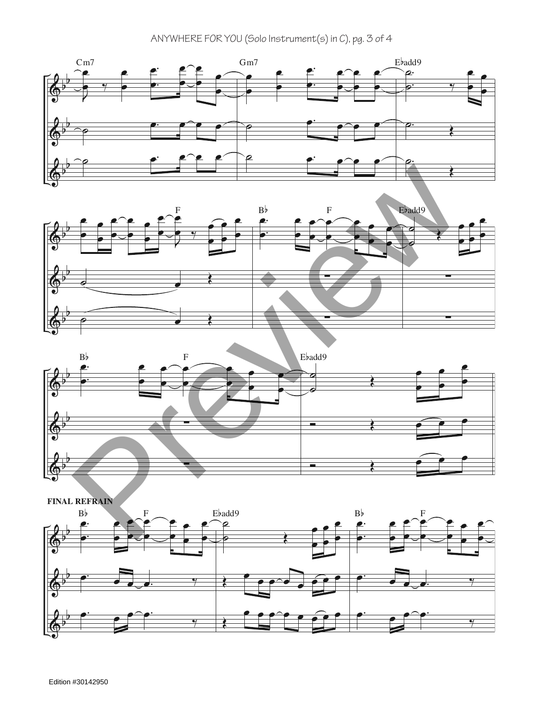ANYWHERE FOR YOU (Solo Instrument(s) in C), pg. 3 of 4